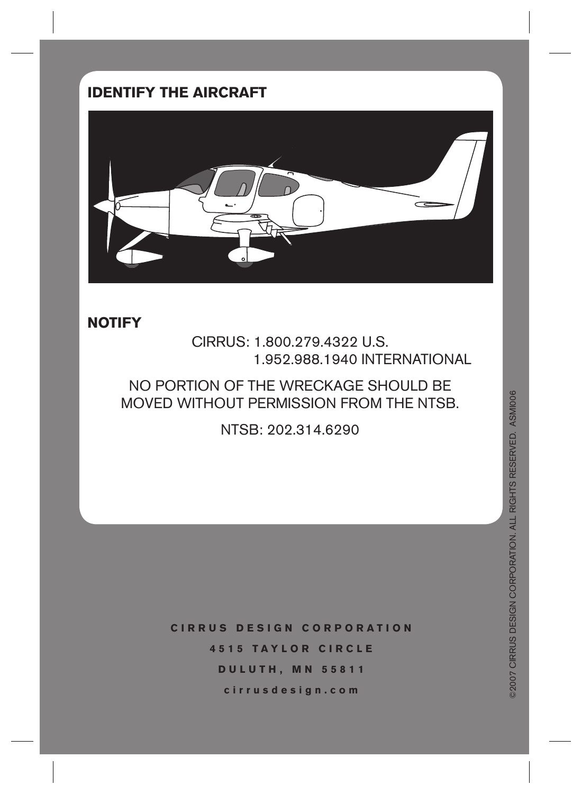## **IDENTIFY THE AIRCRAFT**



#### **NOTIFY**

CIRRUS: 1.800.279.4322 U.S. 1.952.988.1940 INTERNATIONAL

NO PORTION OF THE WRECKAGE SHOULD BE MOVED WITHOUT PERMISSION FROM THE NTSB.

NTSB: 202.314.6290

**CIRRUS DESIGN CORPORATION 4515 TAYLOR CIRCLE DULUTH, MN 55811 cirrusdesign.com**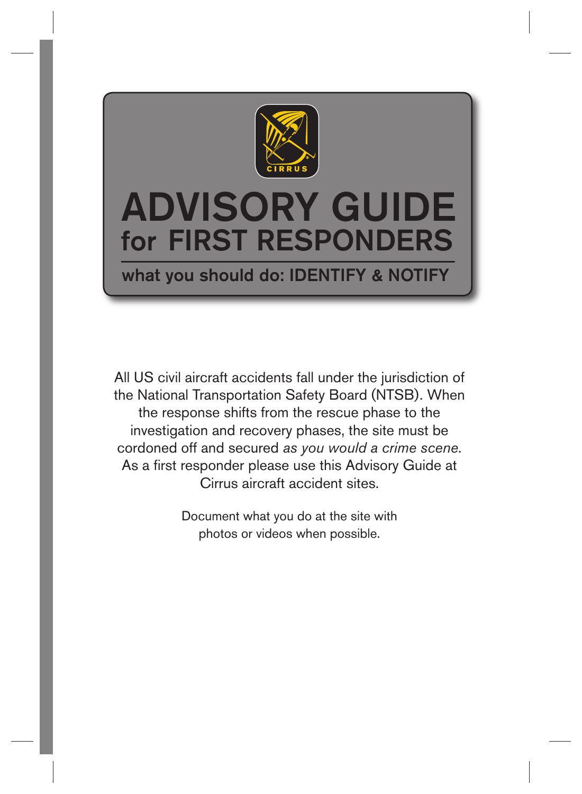

# ADVISORY GUIDE for FIRST RESPONDERS

what you should do: IDENTIFY & NOTIFY

All US civil aircraft accidents fall under the jurisdiction of the National Transportation Safety Board (NTSB). When the response shifts from the rescue phase to the investigation and recovery phases, the site must be cordoned off and secured *as you would a crime scene*. As a first responder please use this Advisory Guide at Cirrus aircraft accident sites.

> Document what you do at the site with photos or videos when possible.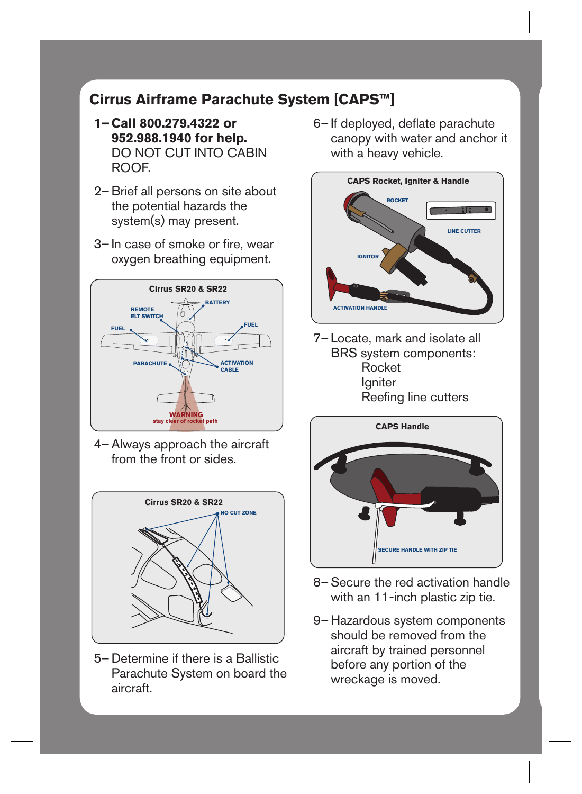### **Cirrus Airframe Parachute System [CAPS™]**

- **Call 800.279.4322 or 1– 952.988.1940 for help.** DO NOT CUT INTO CABIN ROOF.
- 2- Brief all persons on site about the potential hazards the system(s) may present.
- 3– In case of smoke or fire, wear oxygen breathing equipment.



4 – Always approach the aircraft from the front or sides.



5- Determine if there is a Ballistic Parachute System on board the aircraft.

6-If deployed, deflate parachute canopy with water and anchor it with a heavy vehicle.



7-Locate, mark and isolate all BRS system components: Rocket Igniter Reefing line cutters



- 8– Secure the red activation handle with an 11-inch plastic zip tie.
- 9-Hazardous system components should be removed from the aircraft by trained personnel before any portion of the wreckage is moved.